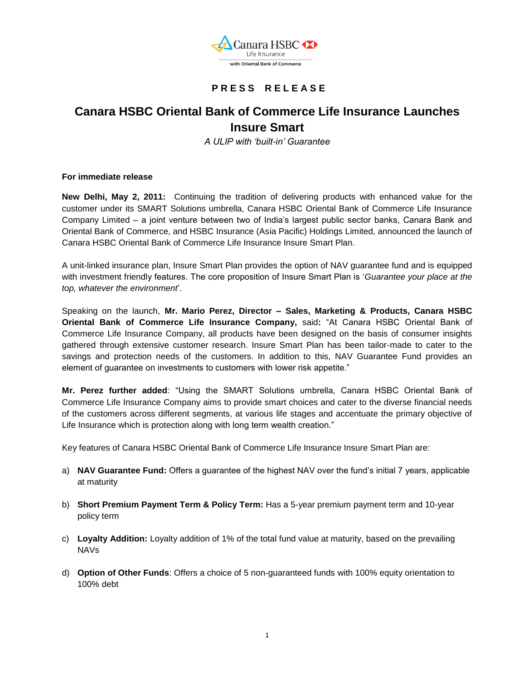

## **P R E S S R E L E A S E**

# **Canara HSBC Oriental Bank of Commerce Life Insurance Launches Insure Smart**

*A ULIP with 'built-in' Guarantee*

**For immediate release**

**New Delhi, May 2, 2011:** Continuing the tradition of delivering products with enhanced value for the customer under its SMART Solutions umbrella, Canara HSBC Oriental Bank of Commerce Life Insurance Company Limited – a joint venture between two of India"s largest public sector banks, Canara Bank and Oriental Bank of Commerce, and HSBC Insurance (Asia Pacific) Holdings Limited, announced the launch of Canara HSBC Oriental Bank of Commerce Life Insurance Insure Smart Plan.

A unit-linked insurance plan, Insure Smart Plan provides the option of NAV guarantee fund and is equipped with investment friendly features. The core proposition of Insure Smart Plan is "*Guarantee your place at the*  top, whatever the environment<sup>'</sup>.

Speaking on the launch, **Mr. Mario Perez, Director – Sales, Marketing & Products, Canara HSBC Oriental Bank of Commerce Life Insurance Company,** said**:** "At Canara HSBC Oriental Bank of Commerce Life Insurance Company, all products have been designed on the basis of consumer insights gathered through extensive customer research. Insure Smart Plan has been tailor-made to cater to the savings and protection needs of the customers. In addition to this, NAV Guarantee Fund provides an element of guarantee on investments to customers with lower risk appetite."

**Mr. Perez further added**: "Using the SMART Solutions umbrella, Canara HSBC Oriental Bank of Commerce Life Insurance Company aims to provide smart choices and cater to the diverse financial needs of the customers across different segments, at various life stages and accentuate the primary objective of Life Insurance which is protection along with long term wealth creation."

Key features of Canara HSBC Oriental Bank of Commerce Life Insurance Insure Smart Plan are:

- a) **NAV Guarantee Fund:** Offers a guarantee of the highest NAV over the fund"s initial 7 years, applicable at maturity
- b) **Short Premium Payment Term & Policy Term:** Has a 5-year premium payment term and 10-year policy term
- c) **Loyalty Addition:** Loyalty addition of 1% of the total fund value at maturity, based on the prevailing NAVs
- d) **Option of Other Funds**: Offers a choice of 5 non-guaranteed funds with 100% equity orientation to 100% debt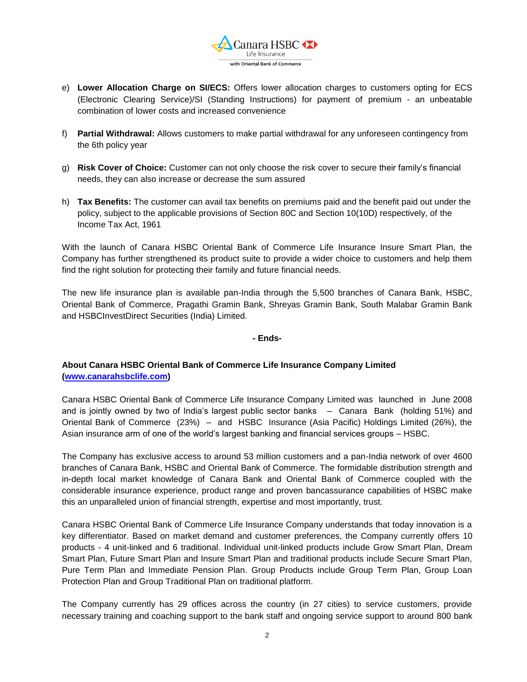

- e) **Lower Allocation Charge on SI/ECS:** Offers lower allocation charges to customers opting for ECS (Electronic Clearing Service)/SI (Standing Instructions) for payment of premium - an unbeatable combination of lower costs and increased convenience
- f) **Partial Withdrawal:** Allows customers to make partial withdrawal for any unforeseen contingency from the 6th policy year
- g) **Risk Cover of Choice:** Customer can not only choose the risk cover to secure their family"s financial needs, they can also increase or decrease the sum assured
- h) **Tax Benefits:** The customer can avail tax benefits on premiums paid and the benefit paid out under the policy, subject to the applicable provisions of Section 80C and Section 10(10D) respectively, of the Income Tax Act, 1961

With the launch of Canara HSBC Oriental Bank of Commerce Life Insurance Insure Smart Plan, the Company has further strengthened its product suite to provide a wider choice to customers and help them find the right solution for protecting their family and future financial needs.

The new life insurance plan is available pan-India through the 5,500 branches of Canara Bank, HSBC, Oriental Bank of Commerce, Pragathi Gramin Bank, Shreyas Gramin Bank, South Malabar Gramin Bank and HSBCInvestDirect Securities (India) Limited.

#### **- Ends-**

### **About Canara HSBC Oriental Bank of Commerce Life Insurance Company Limited [\(www.canarahsbclife.com\)](http://www.canarahsbclife.com/)**

Canara HSBC Oriental Bank of Commerce Life Insurance Company Limited was launched in June 2008 and is jointly owned by two of India"s largest public sector banks – Canara Bank (holding 51%) and Oriental Bank of Commerce (23%) – and HSBC Insurance (Asia Pacific) Holdings Limited (26%), the Asian insurance arm of one of the world"s largest banking and financial services groups – HSBC.

The Company has exclusive access to around 53 million customers and a pan-India network of over 4600 branches of Canara Bank, HSBC and Oriental Bank of Commerce. The formidable distribution strength and in-depth local market knowledge of Canara Bank and Oriental Bank of Commerce coupled with the considerable insurance experience, product range and proven bancassurance capabilities of HSBC make this an unparalleled union of financial strength, expertise and most importantly, trust.

Canara HSBC Oriental Bank of Commerce Life Insurance Company understands that today innovation is a key differentiator. Based on market demand and customer preferences, the Company currently offers 10 products - 4 unit-linked and 6 traditional. Individual unit-linked products include Grow Smart Plan, Dream Smart Plan, Future Smart Plan and Insure Smart Plan and traditional products include Secure Smart Plan, Pure Term Plan and Immediate Pension Plan. Group Products include Group Term Plan, Group Loan Protection Plan and Group Traditional Plan on traditional platform.

The Company currently has 29 offices across the country (in 27 cities) to service customers, provide necessary training and coaching support to the bank staff and ongoing service support to around 800 bank